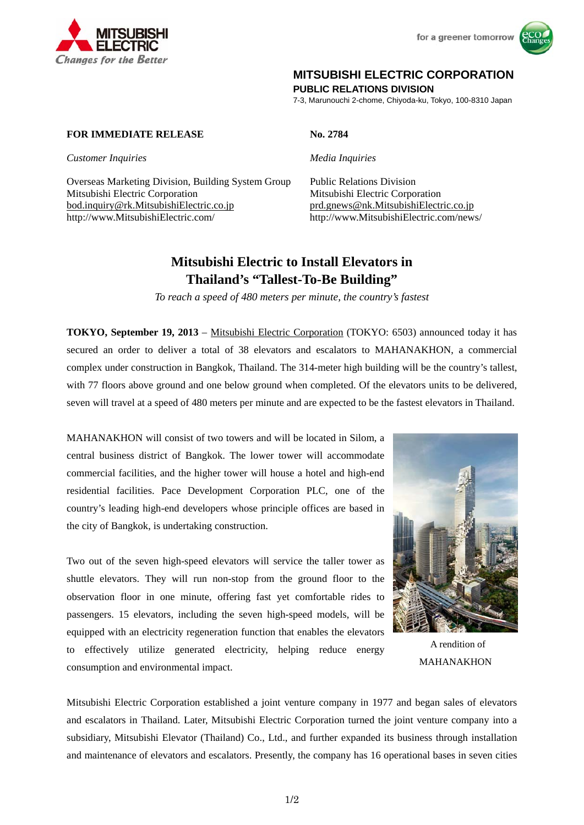

for a greener tomorrow



## **MITSUBISHI ELECTRIC CORPORATION**

**PUBLIC RELATIONS DIVISION** 

7-3, Marunouchi 2-chome, Chiyoda-ku, Tokyo, 100-8310 Japan

## **FOR IMMEDIATE RELEASE No. 2784**

*Customer Inquiries Media Inquiries*

Overseas Marketing Division, Building System Group Public Relations Division Mitsubishi Electric Corporation Mitsubishi Electric Corporation bod.inquiry@rk.MitsubishiElectric.co.jp prd.gnews@nk.MitsubishiElectric.co.jp http://www.MitsubishiElectric.com/ http://www.MitsubishiElectric.com/news/

# **Mitsubishi Electric to Install Elevators in Thailand's "Tallest-To-Be Building"**

*To reach a speed of 480 meters per minute, the country's fastest* 

**TOKYO, September 19, 2013** – Mitsubishi Electric Corporation (TOKYO: 6503) announced today it has secured an order to deliver a total of 38 elevators and escalators to MAHANAKHON, a commercial complex under construction in Bangkok, Thailand. The 314-meter high building will be the country's tallest, with 77 floors above ground and one below ground when completed. Of the elevators units to be delivered, seven will travel at a speed of 480 meters per minute and are expected to be the fastest elevators in Thailand.

MAHANAKHON will consist of two towers and will be located in Silom, a central business district of Bangkok. The lower tower will accommodate commercial facilities, and the higher tower will house a hotel and high-end residential facilities. Pace Development Corporation PLC, one of the country's leading high-end developers whose principle offices are based in the city of Bangkok, is undertaking construction.

Two out of the seven high-speed elevators will service the taller tower as shuttle elevators. They will run non-stop from the ground floor to the observation floor in one minute, offering fast yet comfortable rides to passengers. 15 elevators, including the seven high-speed models, will be equipped with an electricity regeneration function that enables the elevators to effectively utilize generated electricity, helping reduce energy consumption and environmental impact.



A rendition of MAHANAKHON

Mitsubishi Electric Corporation established a joint venture company in 1977 and began sales of elevators and escalators in Thailand. Later, Mitsubishi Electric Corporation turned the joint venture company into a subsidiary, Mitsubishi Elevator (Thailand) Co., Ltd., and further expanded its business through installation and maintenance of elevators and escalators. Presently, the company has 16 operational bases in seven cities